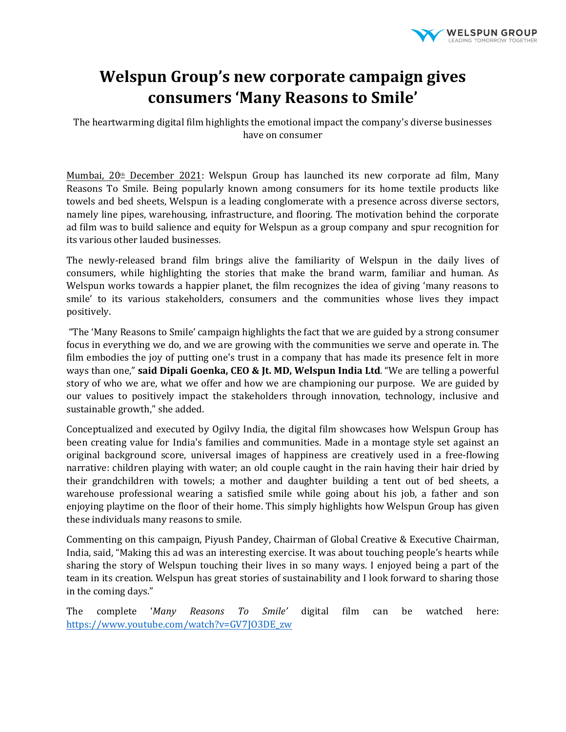

## **Welspun Group's new corporate campaign gives consumers 'Many Reasons to Smile'**

The heartwarming digital film highlights the emotional impact the company's diverse businesses have on consumer

Mumbai,  $20<sup>th</sup>$  December 2021: Welspun Group has launched its new corporate ad film, Many Reasons To Smile. Being popularly known among consumers for its home textile products like towels and bed sheets, Welspun is a leading conglomerate with a presence across diverse sectors, namely line pipes, warehousing, infrastructure, and flooring. The motivation behind the corporate ad film was to build salience and equity for Welspun as a group company and spur recognition for its various other lauded businesses.

The newly-released brand film brings alive the familiarity of Welspun in the daily lives of consumers, while highlighting the stories that make the brand warm, familiar and human. As Welspun works towards a happier planet, the film recognizes the idea of giving 'many reasons to smile' to its various stakeholders, consumers and the communities whose lives they impact positively.

"The 'Many Reasons to Smile' campaign highlights the fact that we are guided by a strong consumer focus in everything we do, and we are growing with the communities we serve and operate in. The film embodies the joy of putting one's trust in a company that has made its presence felt in more ways than one," **said Dipali Goenka, CEO & Jt. MD, Welspun India Ltd**. "We are telling a powerful story of who we are, what we offer and how we are championing our purpose. We are guided by our values to positively impact the stakeholders through innovation, technology, inclusive and sustainable growth," she added.

Conceptualized and executed by Ogilvy India, the digital film showcases how Welspun Group has been creating value for India's families and communities. Made in a montage style set against an original background score, universal images of happiness are creatively used in a free-flowing narrative: children playing with water; an old couple caught in the rain having their hair dried by their grandchildren with towels; a mother and daughter building a tent out of bed sheets, a warehouse professional wearing a satisfied smile while going about his job, a father and son enjoying playtime on the floor of their home. This simply highlights how Welspun Group has given these individuals many reasons to smile.

Commenting on this campaign, Piyush Pandey, Chairman of Global Creative & Executive Chairman, India, said, "Making this ad was an interesting exercise. It was about touching people's hearts while sharing the story of Welspun touching their lives in so many ways. I enjoyed being a part of the team in its creation. Welspun has great stories of sustainability and I look forward to sharing those in the coming days."

The complete '*Many Reasons To Smile'* digital film can be watched here: https://www.youtube.com/watch?v=GV7JO3DE\_zw